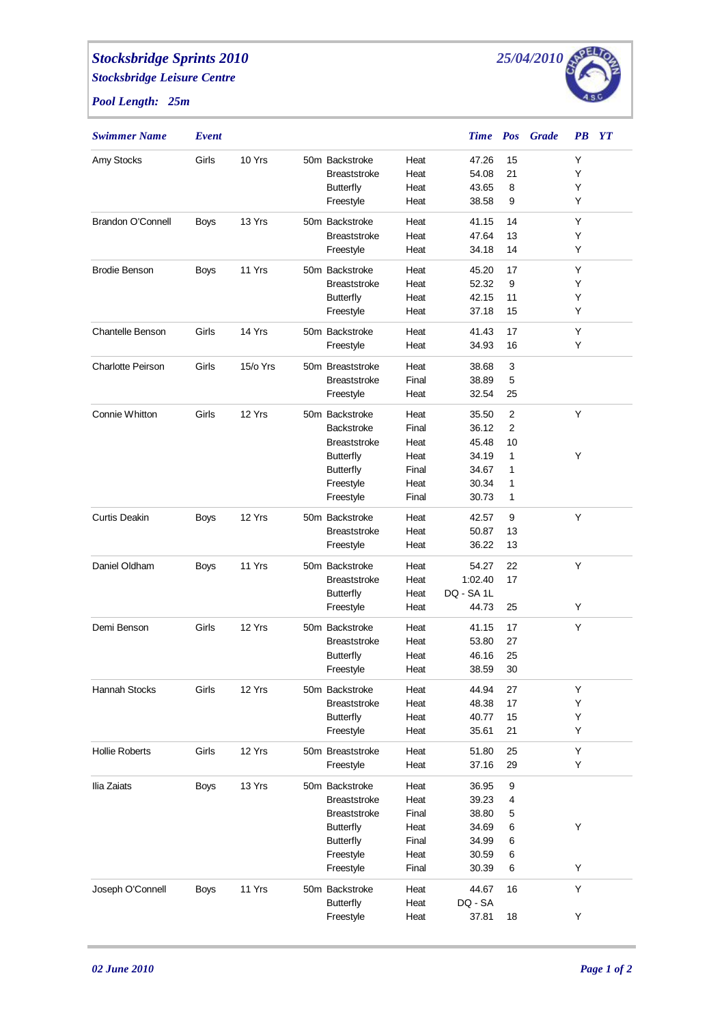## *Stocksbridge Sprints 2010*

*Stocksbridge Leisure Centre*

*Pool Length: 25m*



| <b>Swimmer Name</b>      | Event       |          |                     |       | <b>Time</b> Pos |    | <b>Grade</b> | $\boldsymbol{P}\boldsymbol{B}$ | $\bm{Y} \bm{T}$ |
|--------------------------|-------------|----------|---------------------|-------|-----------------|----|--------------|--------------------------------|-----------------|
| Amy Stocks               | Girls       | 10 Yrs   | 50m Backstroke      | Heat  | 47.26           | 15 |              | Y                              |                 |
|                          |             |          | <b>Breaststroke</b> | Heat  | 54.08           | 21 |              | Y                              |                 |
|                          |             |          | <b>Butterfly</b>    | Heat  | 43.65           | 8  |              | Y                              |                 |
|                          |             |          | Freestyle           | Heat  | 38.58           | 9  |              | Y                              |                 |
| Brandon O'Connell        | Boys        | 13 Yrs   | 50m Backstroke      | Heat  | 41.15           | 14 |              | Y                              |                 |
|                          |             |          | <b>Breaststroke</b> | Heat  | 47.64           | 13 |              | Y                              |                 |
|                          |             |          | Freestyle           | Heat  | 34.18           | 14 |              | Y                              |                 |
| <b>Brodie Benson</b>     | <b>Boys</b> | 11 Yrs   | 50m Backstroke      | Heat  | 45.20           | 17 |              | Y                              |                 |
|                          |             |          | <b>Breaststroke</b> | Heat  | 52.32           | 9  |              | Y                              |                 |
|                          |             |          | <b>Butterfly</b>    | Heat  | 42.15           | 11 |              | Y                              |                 |
|                          |             |          | Freestyle           | Heat  | 37.18           | 15 |              | Y                              |                 |
| <b>Chantelle Benson</b>  | Girls       | 14 Yrs   | 50m Backstroke      | Heat  | 41.43           | 17 |              | Y                              |                 |
|                          |             |          | Freestyle           | Heat  | 34.93           | 16 |              | Y                              |                 |
| <b>Charlotte Peirson</b> | Girls       | 15/o Yrs | 50m Breaststroke    | Heat  | 38.68           | 3  |              |                                |                 |
|                          |             |          | <b>Breaststroke</b> | Final | 38.89           | 5  |              |                                |                 |
|                          |             |          | Freestyle           | Heat  | 32.54           | 25 |              |                                |                 |
| Connie Whitton           | Girls       | 12 Yrs   | 50m Backstroke      | Heat  | 35.50           | 2  |              | Y                              |                 |
|                          |             |          | <b>Backstroke</b>   | Final | 36.12           | 2  |              |                                |                 |
|                          |             |          | <b>Breaststroke</b> | Heat  | 45.48           | 10 |              |                                |                 |
|                          |             |          | <b>Butterfly</b>    | Heat  | 34.19           | 1  |              | Y                              |                 |
|                          |             |          | <b>Butterfly</b>    | Final | 34.67           | 1  |              |                                |                 |
|                          |             |          | Freestyle           | Heat  | 30.34           | 1  |              |                                |                 |
|                          |             |          | Freestyle           | Final | 30.73           | 1  |              |                                |                 |
| <b>Curtis Deakin</b>     | <b>Boys</b> | 12 Yrs   | 50m Backstroke      | Heat  | 42.57           | 9  |              | Y                              |                 |
|                          |             |          | <b>Breaststroke</b> | Heat  | 50.87           | 13 |              |                                |                 |
|                          |             |          | Freestyle           | Heat  | 36.22           | 13 |              |                                |                 |
| Daniel Oldham            | <b>Boys</b> | 11 Yrs   | 50m Backstroke      | Heat  | 54.27           | 22 |              | Y                              |                 |
|                          |             |          | <b>Breaststroke</b> | Heat  | 1:02.40         | 17 |              |                                |                 |
|                          |             |          | <b>Butterfly</b>    | Heat  | DQ - SA 1L      |    |              |                                |                 |
|                          |             |          | Freestyle           | Heat  | 44.73           | 25 |              | Y                              |                 |
| Demi Benson              | Girls       | 12 Yrs   | 50m Backstroke      | Heat  | 41.15           | 17 |              | Y                              |                 |
|                          |             |          | <b>Breaststroke</b> | Heat  | 53.80           | 27 |              |                                |                 |
|                          |             |          | <b>Butterfly</b>    | Heat  | 46.16           | 25 |              |                                |                 |
|                          |             |          | Freestyle           | Heat  | 38.59           | 30 |              |                                |                 |
| <b>Hannah Stocks</b>     | Girls       | 12 Yrs   | 50m Backstroke      | Heat  | 44.94           | 27 |              | Y                              |                 |
|                          |             |          | <b>Breaststroke</b> | Heat  | 48.38           | 17 |              | Υ                              |                 |
|                          |             |          | <b>Butterfly</b>    | Heat  | 40.77           | 15 |              | Υ                              |                 |
|                          |             |          | Freestyle           | Heat  | 35.61           | 21 |              | Y                              |                 |
| <b>Hollie Roberts</b>    | Girls       | 12 Yrs   | 50m Breaststroke    | Heat  | 51.80           | 25 |              | Υ                              |                 |
|                          |             |          | Freestyle           | Heat  | 37.16           | 29 |              | Y                              |                 |
| Ilia Zaiats              | <b>Boys</b> | 13 Yrs   | 50m Backstroke      | Heat  | 36.95           | 9  |              |                                |                 |
|                          |             |          | <b>Breaststroke</b> | Heat  | 39.23           | 4  |              |                                |                 |
|                          |             |          | <b>Breaststroke</b> | Final | 38.80           | 5  |              |                                |                 |
|                          |             |          | <b>Butterfly</b>    | Heat  | 34.69           | 6  |              | Υ                              |                 |
|                          |             |          | <b>Butterfly</b>    | Final | 34.99           | 6  |              |                                |                 |
|                          |             |          | Freestyle           | Heat  | 30.59           | 6  |              |                                |                 |
|                          |             |          | Freestyle           | Final | 30.39           | 6  |              | Y                              |                 |
| Joseph O'Connell         | <b>Boys</b> | 11 Yrs   | 50m Backstroke      | Heat  | 44.67           | 16 |              | Y                              |                 |
|                          |             |          | <b>Butterfly</b>    | Heat  | DQ - SA         |    |              |                                |                 |
|                          |             |          | Freestyle           | Heat  | 37.81           | 18 |              | Y                              |                 |